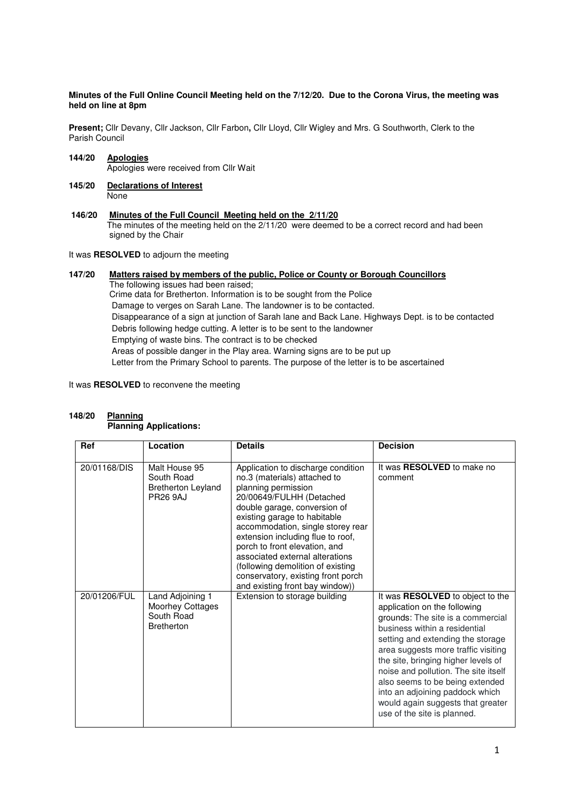# **Minutes of the Full Online Council Meeting held on the 7/12/20. Due to the Corona Virus, the meeting was held on line at 8pm**

**Present;** Cllr Devany, Cllr Jackson, Cllr Farbon**,** Cllr Lloyd, Cllr Wigley and Mrs. G Southworth, Clerk to the Parish Council

- **144/20 Apologies** Apologies were received from Cllr Wait
- **145/20 Declarations of Interest None**
- **146/20 Minutes of the Full Council Meeting held on the 2/11/20** The minutes of the meeting held on the 2/11/20 were deemed to be a correct record and had been signed by the Chair

# It was **RESOLVED** to adjourn the meeting

# **147/20 Matters raised by members of the public, Police or County or Borough Councillors**  The following issues had been raised; Crime data for Bretherton. Information is to be sought from the Police Damage to verges on Sarah Lane. The landowner is to be contacted. Disappearance of a sign at junction of Sarah lane and Back Lane. Highways Dept. is to be contacted Debris following hedge cutting. A letter is to be sent to the landowner Emptying of waste bins. The contract is to be checked Areas of possible danger in the Play area. Warning signs are to be put up Letter from the Primary School to parents. The purpose of the letter is to be ascertained

It was **RESOLVED** to reconvene the meeting

#### **148/20 Planning Planning Applications:**

| Ref          | Location                                                                       | <b>Details</b>                                                                                                                                                                                                                                                                                                                                                                                                                                    | <b>Decision</b>                                                                                                                                                                                                                                                                                                                                                                                                                             |
|--------------|--------------------------------------------------------------------------------|---------------------------------------------------------------------------------------------------------------------------------------------------------------------------------------------------------------------------------------------------------------------------------------------------------------------------------------------------------------------------------------------------------------------------------------------------|---------------------------------------------------------------------------------------------------------------------------------------------------------------------------------------------------------------------------------------------------------------------------------------------------------------------------------------------------------------------------------------------------------------------------------------------|
| 20/01168/DIS | Malt House 95<br>South Road<br><b>Bretherton Leyland</b><br><b>PR26 9AJ</b>    | Application to discharge condition<br>no.3 (materials) attached to<br>planning permission<br>20/00649/FULHH (Detached<br>double garage, conversion of<br>existing garage to habitable<br>accommodation, single storey rear<br>extension including flue to roof,<br>porch to front elevation, and<br>associated external alterations<br>(following demolition of existing<br>conservatory, existing front porch<br>and existing front bay window)) | It was <b>RESOLVED</b> to make no<br>comment                                                                                                                                                                                                                                                                                                                                                                                                |
| 20/01206/FUL | Land Adjoining 1<br><b>Moorhey Cottages</b><br>South Road<br><b>Bretherton</b> | Extension to storage building                                                                                                                                                                                                                                                                                                                                                                                                                     | It was RESOLVED to object to the<br>application on the following<br>grounds: The site is a commercial<br>business within a residential<br>setting and extending the storage<br>area suggests more traffic visiting<br>the site, bringing higher levels of<br>noise and pollution. The site itself<br>also seems to be being extended<br>into an adjoining paddock which<br>would again suggests that greater<br>use of the site is planned. |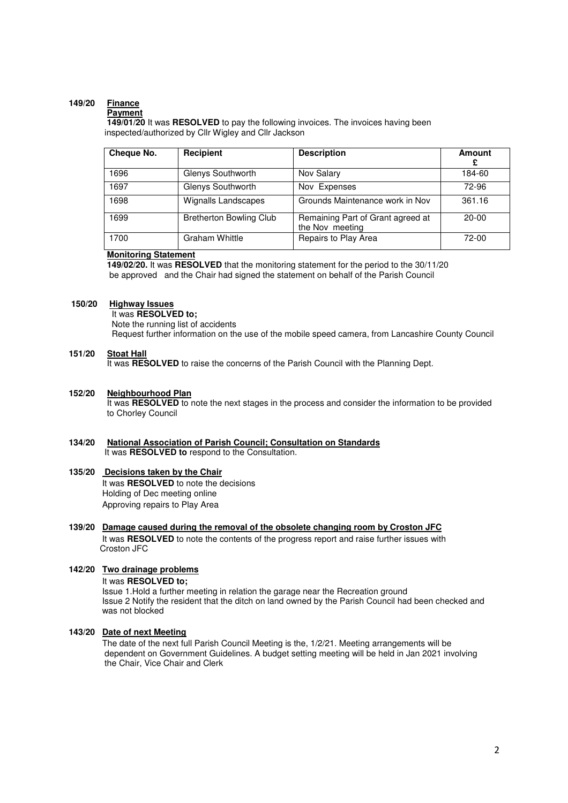# **149/20 Finance**

## **Payment**

 **149/01/20** It was **RESOLVED** to pay the following invoices. The invoices having been inspected/authorized by Cllr Wigley and Cllr Jackson

| Cheque No. | Recipient                      | <b>Description</b>                                   | Amount<br>£ |
|------------|--------------------------------|------------------------------------------------------|-------------|
| 1696       | Glenys Southworth              | Nov Salary                                           | 184-60      |
| 1697       | Glenys Southworth              | Nov Expenses                                         | 72-96       |
| 1698       | <b>Wignalls Landscapes</b>     | Grounds Maintenance work in Nov                      | 361.16      |
| 1699       | <b>Bretherton Bowling Club</b> | Remaining Part of Grant agreed at<br>the Nov meeting | $20-00$     |
| 1700       | <b>Graham Whittle</b>          | Repairs to Play Area                                 | $72-00$     |

# **Monitoring Statement**

 **149/02/20.** It was **RESOLVED** that the monitoring statement for the period to the 30/11/20 be approved and the Chair had signed the statement on behalf of the Parish Council

#### **150/20 Highway Issues**

 It was **RESOLVED to;** Note the running list of accidents Request further information on the use of the mobile speed camera, from Lancashire County Council

# **151/20 Stoat Hall**

It was **RESOLVED** to raise the concerns of the Parish Council with the Planning Dept.

# **152/20 Neighbourhood Plan**

It was **RESOLVED** to note the next stages in the process and consider the information to be provided to Chorley Council

# **134/20 National Association of Parish Council; Consultation on Standards**  It was **RESOLVED to** respond to the Consultation.

### **135/20 Decisions taken by the Chair**  It was **RESOLVED** to note the decisions Holding of Dec meeting online Approving repairs to Play Area

# **139/20 Damage caused during the removal of the obsolete changing room by Croston JFC** It was **RESOLVED** to note the contents of the progress report and raise further issues with Croston JFC

# **142/20 Two drainage problems**

It was **RESOLVED to;** 

Issue 1.Hold a further meeting in relation the garage near the Recreation ground Issue 2 Notify the resident that the ditch on land owned by the Parish Council had been checked and was not blocked

### **143/20 Date of next Meeting**

The date of the next full Parish Council Meeting is the, 1/2/21. Meeting arrangements will be dependent on Government Guidelines. A budget setting meeting will be held in Jan 2021 involving the Chair, Vice Chair and Clerk